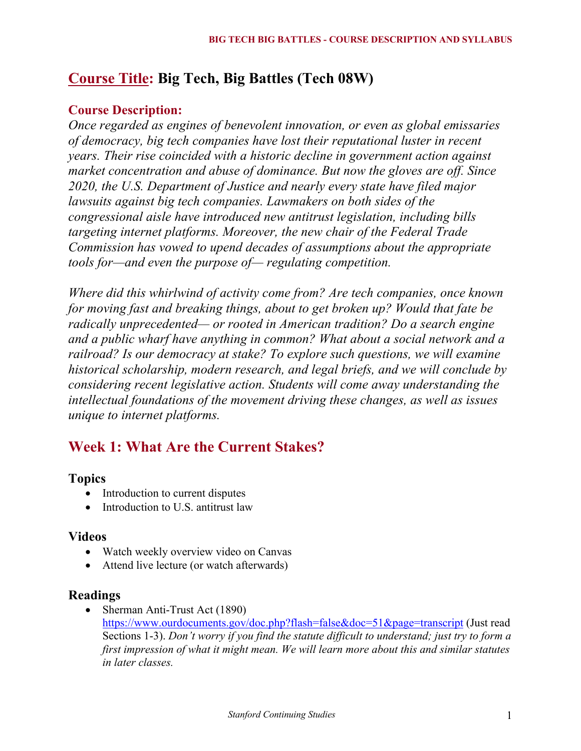# **Course Title: Big Tech, Big Battles (Tech 08W)**

### **Course Description:**

*Once regarded as engines of benevolent innovation, or even as global emissaries of democracy, big tech companies have lost their reputational luster in recent years. Their rise coincided with a historic decline in government action against market concentration and abuse of dominance. But now the gloves are off. Since 2020, the U.S. Department of Justice and nearly every state have filed major lawsuits against big tech companies. Lawmakers on both sides of the congressional aisle have introduced new antitrust legislation, including bills targeting internet platforms. Moreover, the new chair of the Federal Trade Commission has vowed to upend decades of assumptions about the appropriate tools for—and even the purpose of— regulating competition.*

*Where did this whirlwind of activity come from? Are tech companies, once known for moving fast and breaking things, about to get broken up? Would that fate be radically unprecedented— or rooted in American tradition? Do a search engine and a public wharf have anything in common? What about a social network and a railroad? Is our democracy at stake? To explore such questions, we will examine historical scholarship, modern research, and legal briefs, and we will conclude by considering recent legislative action. Students will come away understanding the intellectual foundations of the movement driving these changes, as well as issues unique to internet platforms.*

# **Week 1: What Are the Current Stakes?**

## **Topics**

- Introduction to current disputes
- Introduction to U.S. antitrust law

#### **Videos**

- Watch weekly overview video on Canvas
- Attend live lecture (or watch afterwards)

#### **Readings**

• Sherman Anti-Trust Act (1890) https://www.ourdocuments.gov/doc.php?flash=false&doc=51&page=transcript (Just read Sections 1-3). *Don't worry if you find the statute difficult to understand; just try to form a first impression of what it might mean. We will learn more about this and similar statutes in later classes.*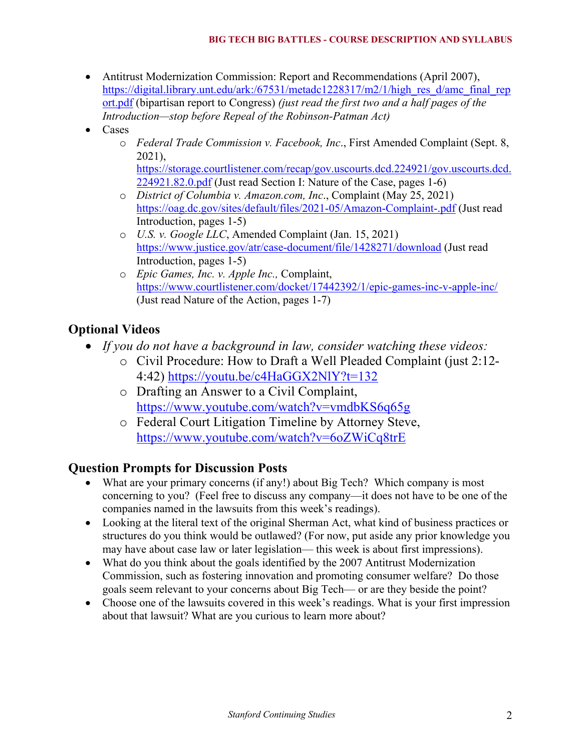- Antitrust Modernization Commission: Report and Recommendations (April 2007), https://digital.library.unt.edu/ark:/67531/metadc1228317/m2/1/high\_res\_d/amc\_final\_rep ort.pdf (bipartisan report to Congress) *(just read the first two and a half pages of the Introduction—stop before Repeal of the Robinson-Patman Act)*
- Cases
	- o *Federal Trade Commission v. Facebook, Inc*., First Amended Complaint (Sept. 8, 2021),

https://storage.courtlistener.com/recap/gov.uscourts.dcd.224921/gov.uscourts.dcd. 224921.82.0.pdf (Just read Section I: Nature of the Case, pages 1-6)

- o *District of Columbia v. Amazon.com, Inc*., Complaint (May 25, 2021) https://oag.dc.gov/sites/default/files/2021-05/Amazon-Complaint-.pdf (Just read Introduction, pages 1-5)
- o *U.S. v. Google LLC*, Amended Complaint (Jan. 15, 2021) https://www.justice.gov/atr/case-document/file/1428271/download (Just read Introduction, pages 1-5)
- o *Epic Games, Inc. v. Apple Inc.,* Complaint, https://www.courtlistener.com/docket/17442392/1/epic-games-inc-v-apple-inc/ (Just read Nature of the Action, pages 1-7)

# **Optional Videos**

- *If you do not have a background in law, consider watching these videos:*
	- o Civil Procedure: How to Draft a Well Pleaded Complaint (just 2:12- 4:42) https://youtu.be/c4HaGGX2NlY?t=132
	- o Drafting an Answer to a Civil Complaint, https://www.youtube.com/watch?v=vmdbKS6q65g
	- o Federal Court Litigation Timeline by Attorney Steve, https://www.youtube.com/watch?v=6oZWiCq8trE

# **Question Prompts for Discussion Posts**

- What are your primary concerns (if any!) about Big Tech? Which company is most concerning to you? (Feel free to discuss any company—it does not have to be one of the companies named in the lawsuits from this week's readings).
- Looking at the literal text of the original Sherman Act, what kind of business practices or structures do you think would be outlawed? (For now, put aside any prior knowledge you may have about case law or later legislation— this week is about first impressions).
- What do you think about the goals identified by the 2007 Antitrust Modernization Commission, such as fostering innovation and promoting consumer welfare? Do those goals seem relevant to your concerns about Big Tech— or are they beside the point?
- Choose one of the lawsuits covered in this week's readings. What is your first impression about that lawsuit? What are you curious to learn more about?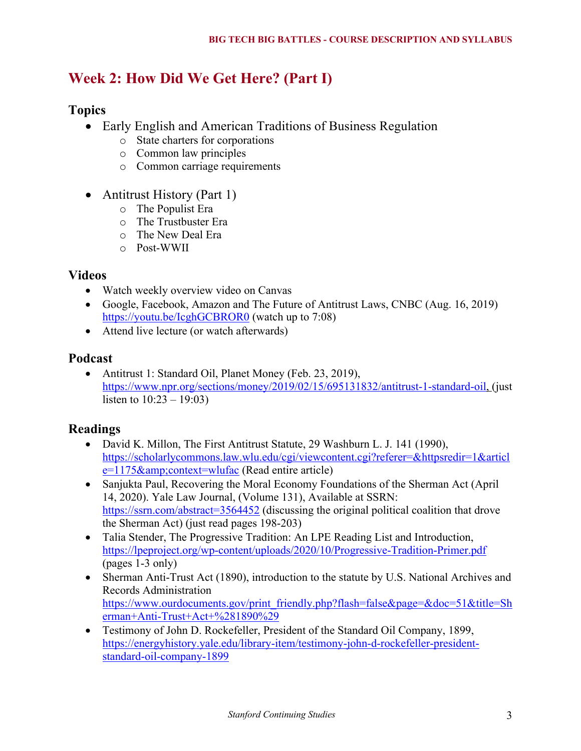# **Week 2: How Did We Get Here? (Part I)**

## **Topics**

- Early English and American Traditions of Business Regulation
	- o State charters for corporations
	- o Common law principles
	- o Common carriage requirements
- Antitrust History (Part 1)
	- o The Populist Era
	- o The Trustbuster Era
	- o The New Deal Era
	- o Post-WWII

#### **Videos**

- Watch weekly overview video on Canvas
- Google, Facebook, Amazon and The Future of Antitrust Laws, CNBC (Aug. 16, 2019) https://youtu.be/IcghGCBROR0 (watch up to 7:08)
- Attend live lecture (or watch afterwards)

#### **Podcast**

• Antitrust 1: Standard Oil, Planet Money (Feb. 23, 2019), https://www.npr.org/sections/money/2019/02/15/695131832/antitrust-1-standard-oil, (just listen to  $10:23 - 19:03$ 

## **Readings**

- David K. Millon, The First Antitrust Statute, 29 Washburn L. J. 141 (1990), https://scholarlycommons.law.wlu.edu/cgi/viewcontent.cgi?referer=&httpsredir=1&articl  $e=1175\&context=wlufac$  (Read entire article)
- Sanjukta Paul, Recovering the Moral Economy Foundations of the Sherman Act (April 14, 2020). Yale Law Journal, (Volume 131), Available at SSRN: https://ssrn.com/abstract=3564452 (discussing the original political coalition that drove the Sherman Act) (just read pages 198-203)
- Talia Stender, The Progressive Tradition: An LPE Reading List and Introduction, https://lpeproject.org/wp-content/uploads/2020/10/Progressive-Tradition-Primer.pdf (pages 1-3 only)
- Sherman Anti-Trust Act (1890), introduction to the statute by U.S. National Archives and Records Administration https://www.ourdocuments.gov/print\_friendly.php?flash=false&page=&doc=51&title=Sh erman+Anti-Trust+Act+%281890%29
- Testimony of John D. Rockefeller, President of the Standard Oil Company, 1899, https://energyhistory.yale.edu/library-item/testimony-john-d-rockefeller-presidentstandard-oil-company-1899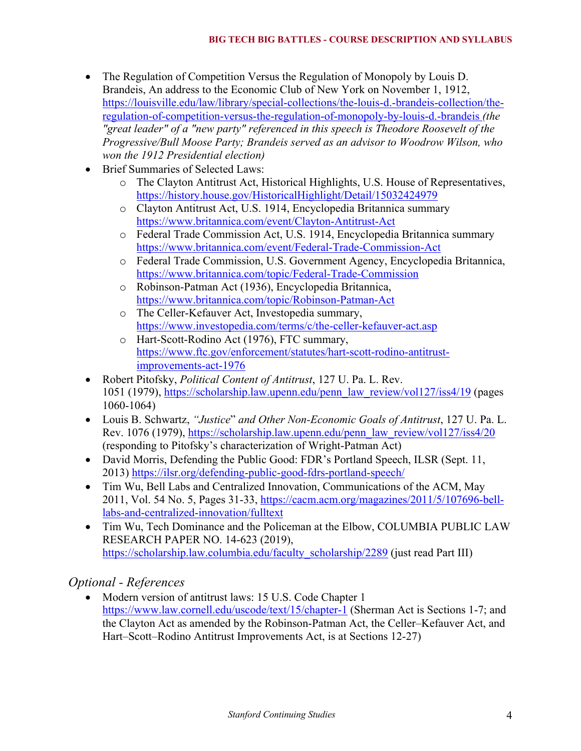- The Regulation of Competition Versus the Regulation of Monopoly by Louis D. Brandeis, An address to the Economic Club of New York on November 1, 1912, https://louisville.edu/law/library/special-collections/the-louis-d.-brandeis-collection/theregulation-of-competition-versus-the-regulation-of-monopoly-by-louis-d.-brandeis *(the "great leader" of a "new party" referenced in this speech is Theodore Roosevelt of the Progressive/Bull Moose Party; Brandeis served as an advisor to Woodrow Wilson, who won the 1912 Presidential election)*
- Brief Summaries of Selected Laws:
	- o The Clayton Antitrust Act, Historical Highlights, U.S. House of Representatives, https://history.house.gov/HistoricalHighlight/Detail/15032424979
	- o Clayton Antitrust Act, U.S. 1914, Encyclopedia Britannica summary https://www.britannica.com/event/Clayton-Antitrust-Act
	- o Federal Trade Commission Act, U.S. 1914, Encyclopedia Britannica summary https://www.britannica.com/event/Federal-Trade-Commission-Act
	- o Federal Trade Commission, U.S. Government Agency, Encyclopedia Britannica, https://www.britannica.com/topic/Federal-Trade-Commission
	- o Robinson-Patman Act (1936), Encyclopedia Britannica, https://www.britannica.com/topic/Robinson-Patman-Act
	- o The Celler-Kefauver Act, Investopedia summary, https://www.investopedia.com/terms/c/the-celler-kefauver-act.asp
	- o Hart-Scott-Rodino Act (1976), FTC summary, https://www.ftc.gov/enforcement/statutes/hart-scott-rodino-antitrustimprovements-act-1976
- Robert Pitofsky, *Political Content of Antitrust*, 127 U. Pa. L. Rev. 1051 (1979), https://scholarship.law.upenn.edu/penn\_law\_review/vol127/iss4/19 (pages 1060-1064)
- Louis B. Schwartz, *"Justice*" *and Other Non-Economic Goals of Antitrust*, 127 U. Pa. L. Rev. 1076 (1979), https://scholarship.law.upenn.edu/penn\_law\_review/vol127/iss4/20 (responding to Pitofsky's characterization of Wright-Patman Act)
- David Morris, Defending the Public Good: FDR's Portland Speech, ILSR (Sept. 11, 2013) https://ilsr.org/defending-public-good-fdrs-portland-speech/
- Tim Wu, Bell Labs and Centralized Innovation, Communications of the ACM, May 2011, Vol. 54 No. 5, Pages 31-33, https://cacm.acm.org/magazines/2011/5/107696-belllabs-and-centralized-innovation/fulltext
- Tim Wu, Tech Dominance and the Policeman at the Elbow, COLUMBIA PUBLIC LAW RESEARCH PAPER NO. 14-623 (2019), https://scholarship.law.columbia.edu/faculty\_scholarship/2289 (just read Part III)

# *Optional - References*

• Modern version of antitrust laws: 15 U.S. Code Chapter 1 https://www.law.cornell.edu/uscode/text/15/chapter-1 (Sherman Act is Sections 1-7; and the Clayton Act as amended by the Robinson-Patman Act, the Celler–Kefauver Act, and Hart–Scott–Rodino Antitrust Improvements Act, is at Sections 12-27)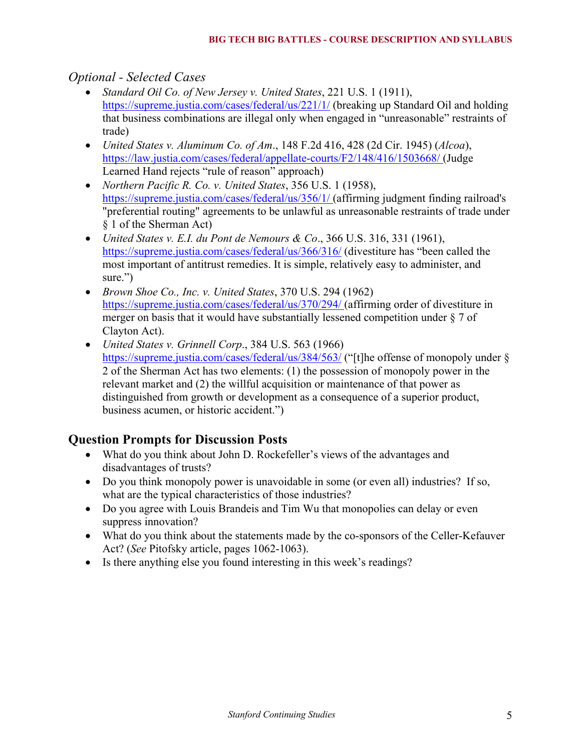### *Optional - Selected Cases*

- *Standard Oil Co. of New Jersey v. United States*, 221 U.S. 1 (1911), https://supreme.justia.com/cases/federal/us/221/1/ (breaking up Standard Oil and holding that business combinations are illegal only when engaged in "unreasonable" restraints of trade)
- *United States v. Aluminum Co. of Am*., 148 F.2d 416, 428 (2d Cir. 1945) (*Alcoa*), https://law.justia.com/cases/federal/appellate-courts/F2/148/416/1503668/ (Judge Learned Hand rejects "rule of reason" approach)
- *Northern Pacific R. Co. v. United States*, 356 U.S. 1 (1958), https://supreme.justia.com/cases/federal/us/356/1/ (affirming judgment finding railroad's "preferential routing" agreements to be unlawful as unreasonable restraints of trade under § 1 of the Sherman Act)
- *United States v. E.I. du Pont de Nemours & Co*., 366 U.S. 316, 331 (1961), https://supreme.justia.com/cases/federal/us/366/316/ (divestiture has "been called the most important of antitrust remedies. It is simple, relatively easy to administer, and sure.")
- *Brown Shoe Co., Inc. v. United States*, 370 U.S. 294 (1962) https://supreme.justia.com/cases/federal/us/370/294/ (affirming order of divestiture in merger on basis that it would have substantially lessened competition under  $\S 7$  of Clayton Act).
- *United States v. Grinnell Corp*., 384 U.S. 563 (1966) https://supreme.justia.com/cases/federal/us/384/563/ ("[t]he offense of monopoly under § 2 of the Sherman Act has two elements: (1) the possession of monopoly power in the relevant market and (2) the willful acquisition or maintenance of that power as distinguished from growth or development as a consequence of a superior product, business acumen, or historic accident.")

## **Question Prompts for Discussion Posts**

- What do you think about John D. Rockefeller's views of the advantages and disadvantages of trusts?
- Do you think monopoly power is unavoidable in some (or even all) industries? If so, what are the typical characteristics of those industries?
- Do you agree with Louis Brandeis and Tim Wu that monopolies can delay or even suppress innovation?
- What do you think about the statements made by the co-sponsors of the Celler-Kefauver Act? (*See* Pitofsky article, pages 1062-1063).
- Is there anything else you found interesting in this week's readings?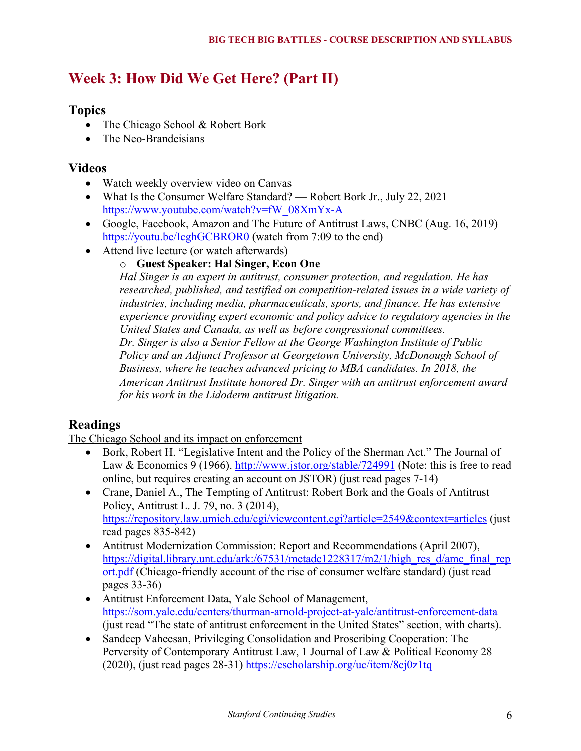# **Week 3: How Did We Get Here? (Part II)**

### **Topics**

- The Chicago School & Robert Bork
- The Neo-Brandeisians

### **Videos**

- Watch weekly overview video on Canvas
- What Is the Consumer Welfare Standard? Robert Bork Jr., July 22, 2021 https://www.youtube.com/watch?v=fW\_08XmYx-A
- Google, Facebook, Amazon and The Future of Antitrust Laws, CNBC (Aug. 16, 2019) https://youtu.be/IcghGCBROR0 (watch from 7:09 to the end)
- Attend live lecture (or watch afterwards)

#### o **Guest Speaker: Hal Singer, Econ One**

*Hal Singer is an expert in antitrust, consumer protection, and regulation. He has researched, published, and testified on competition-related issues in a wide variety of industries, including media, pharmaceuticals, sports, and finance. He has extensive experience providing expert economic and policy advice to regulatory agencies in the United States and Canada, as well as before congressional committees. Dr. Singer is also a Senior Fellow at the George Washington Institute of Public Policy and an Adjunct Professor at Georgetown University, McDonough School of Business, where he teaches advanced pricing to MBA candidates. In 2018, the American Antitrust Institute honored Dr. Singer with an antitrust enforcement award* 

# *for his work in the Lidoderm antitrust litigation.*

## **Readings**

The Chicago School and its impact on enforcement

- Bork, Robert H. "Legislative Intent and the Policy of the Sherman Act." The Journal of Law & Economics 9 (1966). http://www.jstor.org/stable/724991 (Note: this is free to read online, but requires creating an account on JSTOR) (just read pages 7-14)
- Crane, Daniel A., The Tempting of Antitrust: Robert Bork and the Goals of Antitrust Policy, Antitrust L. J. 79, no. 3 (2014), https://repository.law.umich.edu/cgi/viewcontent.cgi?article=2549&context=articles (just read pages 835-842)
- Antitrust Modernization Commission: Report and Recommendations (April 2007), https://digital.library.unt.edu/ark:/67531/metadc1228317/m2/1/high\_res\_d/amc\_final\_rep\_ ort.pdf (Chicago-friendly account of the rise of consumer welfare standard) (just read pages 33-36)
- Antitrust Enforcement Data, Yale School of Management, https://som.yale.edu/centers/thurman-arnold-project-at-yale/antitrust-enforcement-data (just read "The state of antitrust enforcement in the United States" section, with charts).
- Sandeep Vaheesan, Privileging Consolidation and Proscribing Cooperation: The Perversity of Contemporary Antitrust Law, 1 Journal of Law & Political Economy 28 (2020), (just read pages 28-31) https://escholarship.org/uc/item/8cj0z1tq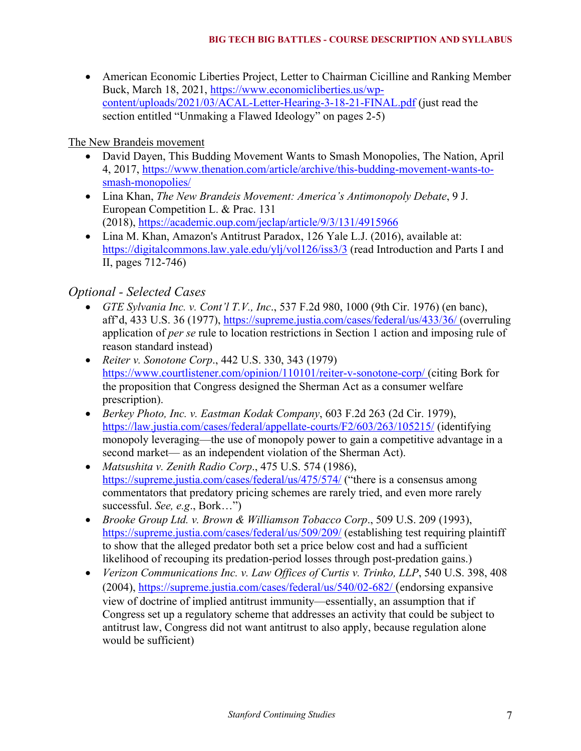• American Economic Liberties Project, Letter to Chairman Cicilline and Ranking Member Buck, March 18, 2021, https://www.economicliberties.us/wpcontent/uploads/2021/03/ACAL-Letter-Hearing-3-18-21-FINAL.pdf (just read the section entitled "Unmaking a Flawed Ideology" on pages 2-5)

#### The New Brandeis movement

- David Dayen, This Budding Movement Wants to Smash Monopolies, The Nation, April 4, 2017, https://www.thenation.com/article/archive/this-budding-movement-wants-tosmash-monopolies/
- Lina Khan, *The New Brandeis Movement: America's Antimonopoly Debate*, 9 J. European Competition L. & Prac. 131 (2018), https://academic.oup.com/jeclap/article/9/3/131/4915966
- Lina M. Khan, Amazon's Antitrust Paradox, 126 Yale L.J. (2016), available at: https://digitalcommons.law.yale.edu/ylj/vol126/iss3/3 (read Introduction and Parts I and II, pages 712-746)

# *Optional - Selected Cases*

- *GTE Sylvania Inc. v. Cont'l T.V., Inc*., 537 F.2d 980, 1000 (9th Cir. 1976) (en banc), aff'd, 433 U.S. 36 (1977), https://supreme.justia.com/cases/federal/us/433/36/ (overruling application of *per se* rule to location restrictions in Section 1 action and imposing rule of reason standard instead)
- *Reiter v. Sonotone Corp*., 442 U.S. 330, 343 (1979) https://www.courtlistener.com/opinion/110101/reiter-v-sonotone-corp/ (citing Bork for the proposition that Congress designed the Sherman Act as a consumer welfare prescription).
- *Berkey Photo, Inc. v. Eastman Kodak Company*, 603 F.2d 263 (2d Cir. 1979), https://law.justia.com/cases/federal/appellate-courts/F2/603/263/105215/ (identifying monopoly leveraging—the use of monopoly power to gain a competitive advantage in a second market— as an independent violation of the Sherman Act).
- *Matsushita v. Zenith Radio Corp*., 475 U.S. 574 (1986), https://supreme.justia.com/cases/federal/us/475/574/ ("there is a consensus among commentators that predatory pricing schemes are rarely tried, and even more rarely successful. *See, e.g*., Bork…")
- *Brooke Group Ltd. v. Brown & Williamson Tobacco Corp*., 509 U.S. 209 (1993), https://supreme.justia.com/cases/federal/us/509/209/ (establishing test requiring plaintiff to show that the alleged predator both set a price below cost and had a sufficient likelihood of recouping its predation-period losses through post-predation gains.)
- *Verizon Communications Inc. v. Law Offices of Curtis v. Trinko, LLP*, 540 U.S. 398, 408 (2004), https://supreme.justia.com/cases/federal/us/540/02-682/ (endorsing expansive view of doctrine of implied antitrust immunity—essentially, an assumption that if Congress set up a regulatory scheme that addresses an activity that could be subject to antitrust law, Congress did not want antitrust to also apply, because regulation alone would be sufficient)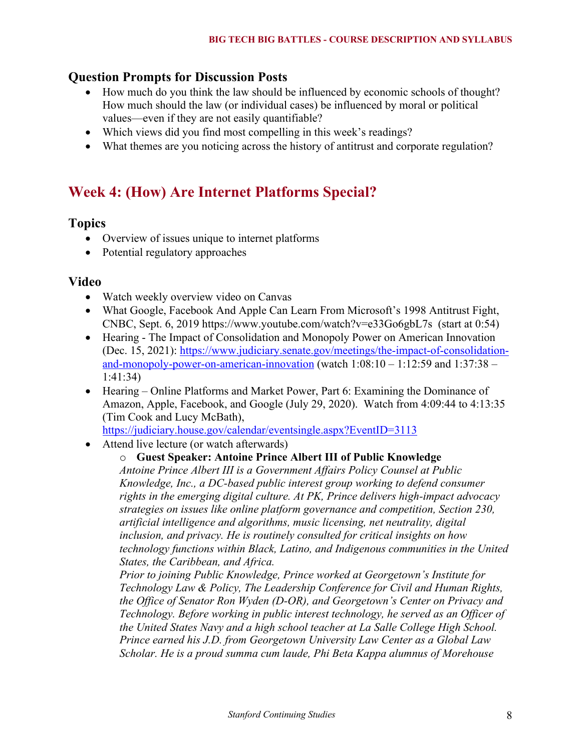#### **Question Prompts for Discussion Posts**

- How much do you think the law should be influenced by economic schools of thought? How much should the law (or individual cases) be influenced by moral or political values—even if they are not easily quantifiable?
- Which views did you find most compelling in this week's readings?
- What themes are you noticing across the history of antitrust and corporate regulation?

# **Week 4: (How) Are Internet Platforms Special?**

#### **Topics**

- Overview of issues unique to internet platforms
- Potential regulatory approaches

#### **Video**

- Watch weekly overview video on Canvas
- What Google, Facebook And Apple Can Learn From Microsoft's 1998 Antitrust Fight, CNBC, Sept. 6, 2019 https://www.youtube.com/watch?v=e33Go6gbL7s (start at 0:54)
- Hearing The Impact of Consolidation and Monopoly Power on American Innovation (Dec. 15, 2021): https://www.judiciary.senate.gov/meetings/the-impact-of-consolidationand-monopoly-power-on-american-innovation (watch  $1:08:10 - 1:12:59$  and  $1:37:38 -$ 1:41:34)
- Hearing Online Platforms and Market Power, Part 6: Examining the Dominance of Amazon, Apple, Facebook, and Google (July 29, 2020).Watch from 4:09:44 to 4:13:35 (Tim Cook and Lucy McBath),

https://judiciary.house.gov/calendar/eventsingle.aspx?EventID=3113

• Attend live lecture (or watch afterwards)

#### o **Guest Speaker: Antoine Prince Albert III of Public Knowledge**

*Antoine Prince Albert III is a Government Affairs Policy Counsel at Public Knowledge, Inc., a DC-based public interest group working to defend consumer rights in the emerging digital culture. At PK, Prince delivers high-impact advocacy strategies on issues like online platform governance and competition, Section 230, artificial intelligence and algorithms, music licensing, net neutrality, digital inclusion, and privacy. He is routinely consulted for critical insights on how technology functions within Black, Latino, and Indigenous communities in the United States, the Caribbean, and Africa.*

*Prior to joining Public Knowledge, Prince worked at Georgetown's Institute for Technology Law & Policy, The Leadership Conference for Civil and Human Rights, the Office of Senator Ron Wyden (D-OR), and Georgetown's Center on Privacy and Technology. Before working in public interest technology, he served as an Officer of the United States Navy and a high school teacher at La Salle College High School. Prince earned his J.D. from Georgetown University Law Center as a Global Law Scholar. He is a proud summa cum laude, Phi Beta Kappa alumnus of Morehouse*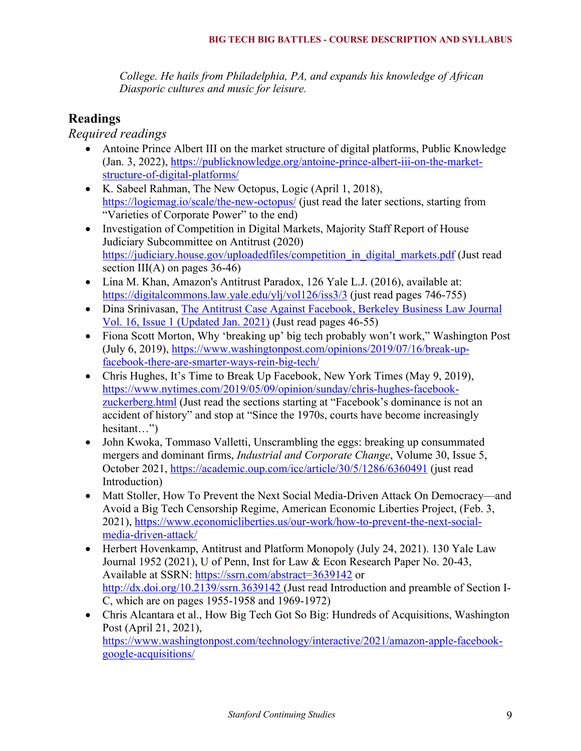*College. He hails from Philadelphia, PA, and expands his knowledge of African Diasporic cultures and music for leisure.*

# **Readings**

*Required readings*

- Antoine Prince Albert III on the market structure of digital platforms, Public Knowledge (Jan. 3, 2022), https://publicknowledge.org/antoine-prince-albert-iii-on-the-marketstructure-of-digital-platforms/
- K. Sabeel Rahman, The New Octopus, Logic (April 1, 2018), https://logicmag.io/scale/the-new-octopus/ (just read the later sections, starting from "Varieties of Corporate Power" to the end)
- Investigation of Competition in Digital Markets, Majority Staff Report of House Judiciary Subcommittee on Antitrust (2020) https://judiciary.house.gov/uploadedfiles/competition in digital markets.pdf (Just read section  $III(A)$  on pages 36-46)
- Lina M. Khan, Amazon's Antitrust Paradox, 126 Yale L.J. (2016), available at: https://digitalcommons.law.yale.edu/ylj/vol126/iss3/3 (just read pages 746-755)
- Dina Srinivasan, The Antitrust Case Against Facebook, Berkeley Business Law Journal Vol. 16, Issue 1 (Updated Jan. 2021) (Just read pages 46-55)
- Fiona Scott Morton, Why 'breaking up' big tech probably won't work," Washington Post (July 6, 2019), https://www.washingtonpost.com/opinions/2019/07/16/break-upfacebook-there-are-smarter-ways-rein-big-tech/
- Chris Hughes, It's Time to Break Up Facebook, New York Times (May 9, 2019), https://www.nytimes.com/2019/05/09/opinion/sunday/chris-hughes-facebookzuckerberg.html (Just read the sections starting at "Facebook's dominance is not an accident of history" and stop at "Since the 1970s, courts have become increasingly hesitant…")
- John Kwoka, Tommaso Valletti, Unscrambling the eggs: breaking up consummated mergers and dominant firms, *Industrial and Corporate Change*, Volume 30, Issue 5, October 2021, https://academic.oup.com/icc/article/30/5/1286/6360491 (just read Introduction)
- Matt Stoller, How To Prevent the Next Social Media-Driven Attack On Democracy—and Avoid a Big Tech Censorship Regime, American Economic Liberties Project, (Feb. 3, 2021), https://www.economicliberties.us/our-work/how-to-prevent-the-next-socialmedia-driven-attack/
- Herbert Hovenkamp, Antitrust and Platform Monopoly (July 24, 2021). 130 Yale Law Journal 1952 (2021), U of Penn, Inst for Law & Econ Research Paper No. 20-43, Available at SSRN: https://ssrn.com/abstract=3639142 or http://dx.doi.org/10.2139/ssrn.3639142 (Just read Introduction and preamble of Section I-C, which are on pages 1955-1958 and 1969-1972)
- Chris Alcantara et al., How Big Tech Got So Big: Hundreds of Acquisitions, Washington Post (April 21, 2021),

https://www.washingtonpost.com/technology/interactive/2021/amazon-apple-facebookgoogle-acquisitions/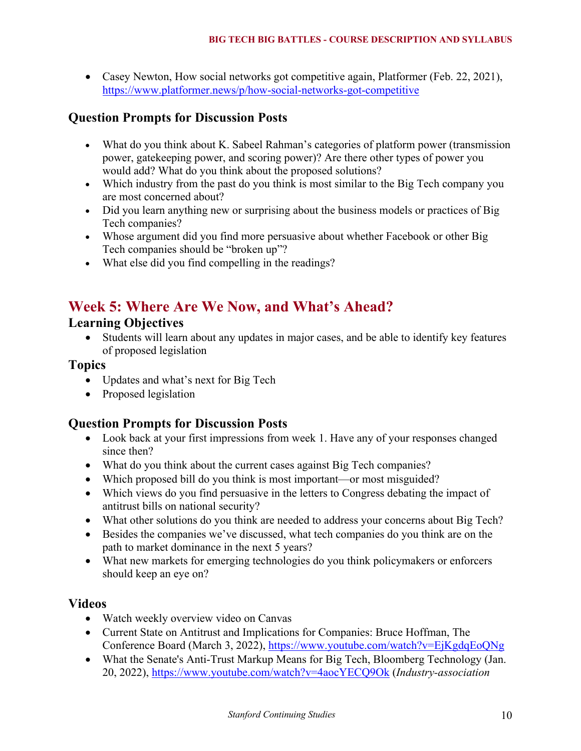• Casey Newton, How social networks got competitive again, Platformer (Feb. 22, 2021), https://www.platformer.news/p/how-social-networks-got-competitive

# **Question Prompts for Discussion Posts**

- What do you think about K. Sabeel Rahman's categories of platform power (transmission power, gatekeeping power, and scoring power)? Are there other types of power you would add? What do you think about the proposed solutions?
- Which industry from the past do you think is most similar to the Big Tech company you are most concerned about?
- Did you learn anything new or surprising about the business models or practices of Big Tech companies?
- Whose argument did you find more persuasive about whether Facebook or other Big Tech companies should be "broken up"?
- What else did you find compelling in the readings?

# **Week 5: Where Are We Now, and What's Ahead?**

### **Learning Objectives**

• Students will learn about any updates in major cases, and be able to identify key features of proposed legislation

#### **Topics**

- Updates and what's next for Big Tech
- Proposed legislation

## **Question Prompts for Discussion Posts**

- Look back at your first impressions from week 1. Have any of your responses changed since then?
- What do you think about the current cases against Big Tech companies?
- Which proposed bill do you think is most important—or most misguided?
- Which views do you find persuasive in the letters to Congress debating the impact of antitrust bills on national security?
- What other solutions do you think are needed to address your concerns about Big Tech?
- Besides the companies we've discussed, what tech companies do you think are on the path to market dominance in the next 5 years?
- What new markets for emerging technologies do you think policymakers or enforcers should keep an eye on?

#### **Videos**

- Watch weekly overview video on Canvas
- Current State on Antitrust and Implications for Companies: Bruce Hoffman, The Conference Board (March 3, 2022), https://www.youtube.com/watch?v=EjKgdqEoQNg
- What the Senate's Anti-Trust Markup Means for Big Tech, Bloomberg Technology (Jan. 20, 2022), https://www.youtube.com/watch?v=4aocYECQ9Ok (*Industry-association*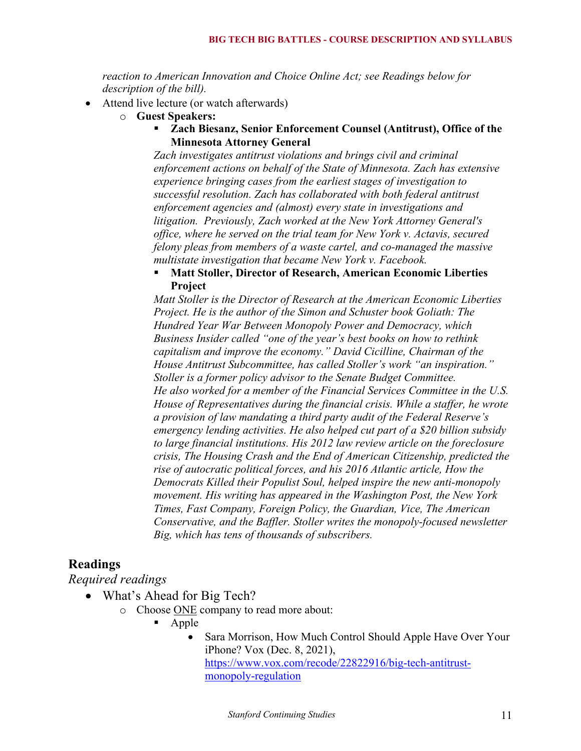*reaction to American Innovation and Choice Online Act; see Readings below for description of the bill).*

- Attend live lecture (or watch afterwards)
	- o **Guest Speakers:**
		- ! **Zach Biesanz, Senior Enforcement Counsel (Antitrust), Office of the Minnesota Attorney General**

*Zach investigates antitrust violations and brings civil and criminal enforcement actions on behalf of the State of Minnesota. Zach has extensive experience bringing cases from the earliest stages of investigation to successful resolution. Zach has collaborated with both federal antitrust enforcement agencies and (almost) every state in investigations and litigation. Previously, Zach worked at the New York Attorney General's office, where he served on the trial team for New York v. Actavis, secured felony pleas from members of a waste cartel, and co-managed the massive multistate investigation that became New York v. Facebook.*

#### ! **Matt Stoller, Director of Research, American Economic Liberties Project**

*Matt Stoller is the Director of Research at the American Economic Liberties Project. He is the author of the Simon and Schuster book Goliath: The Hundred Year War Between Monopoly Power and Democracy, which Business Insider called "one of the year's best books on how to rethink capitalism and improve the economy." David Cicilline, Chairman of the House Antitrust Subcommittee, has called Stoller's work "an inspiration." Stoller is a former policy advisor to the Senate Budget Committee. He also worked for a member of the Financial Services Committee in the U.S. House of Representatives during the financial crisis. While a staffer, he wrote a provision of law mandating a third party audit of the Federal Reserve's emergency lending activities. He also helped cut part of a \$20 billion subsidy to large financial institutions. His 2012 law review article on the foreclosure crisis, The Housing Crash and the End of American Citizenship, predicted the rise of autocratic political forces, and his 2016 Atlantic article, How the Democrats Killed their Populist Soul, helped inspire the new anti-monopoly movement. His writing has appeared in the Washington Post, the New York Times, Fast Company, Foreign Policy, the Guardian, Vice, The American Conservative, and the Baffler. Stoller writes the monopoly-focused newsletter Big, which has tens of thousands of subscribers.*

#### **Readings**

*Required readings*

- What's Ahead for Big Tech?
	- o Choose ONE company to read more about:
		- ! Apple
			- Sara Morrison, How Much Control Should Apple Have Over Your iPhone? Vox (Dec. 8, 2021), https://www.vox.com/recode/22822916/big-tech-antitrustmonopoly-regulation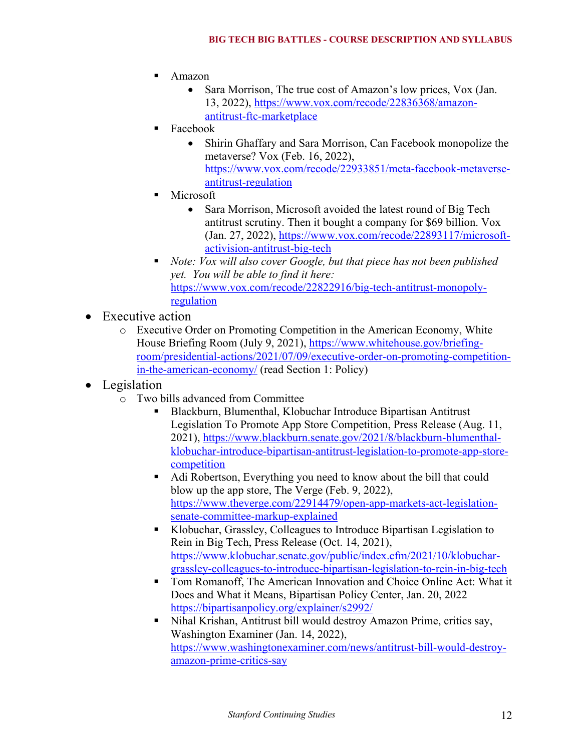- ! Amazon
	- Sara Morrison, The true cost of Amazon's low prices, Vox (Jan.) 13, 2022), https://www.vox.com/recode/22836368/amazonantitrust-ftc-marketplace
- ! Facebook
	- Shirin Ghaffary and Sara Morrison, Can Facebook monopolize the metaverse? Vox (Feb. 16, 2022), https://www.vox.com/recode/22933851/meta-facebook-metaverseantitrust-regulation
- **Microsoft** 
	- Sara Morrison, Microsoft avoided the latest round of Big Tech antitrust scrutiny. Then it bought a company for \$69 billion. Vox (Jan. 27, 2022), https://www.vox.com/recode/22893117/microsoftactivision-antitrust-big-tech
- ! *Note: Vox will also cover Google, but that piece has not been published yet. You will be able to find it here:*  https://www.vox.com/recode/22822916/big-tech-antitrust-monopolyregulation
- Executive action
	- o Executive Order on Promoting Competition in the American Economy, White House Briefing Room (July 9, 2021), https://www.whitehouse.gov/briefingroom/presidential-actions/2021/07/09/executive-order-on-promoting-competitionin-the-american-economy/ (read Section 1: Policy)
- **Legislation** 
	- o Two bills advanced from Committee
		- ! Blackburn, Blumenthal, Klobuchar Introduce Bipartisan Antitrust Legislation To Promote App Store Competition, Press Release (Aug. 11, 2021), https://www.blackburn.senate.gov/2021/8/blackburn-blumenthalklobuchar-introduce-bipartisan-antitrust-legislation-to-promote-app-storecompetition
		- ! Adi Robertson, Everything you need to know about the bill that could blow up the app store, The Verge (Feb. 9, 2022), https://www.theverge.com/22914479/open-app-markets-act-legislationsenate-committee-markup-explained
		- ! Klobuchar, Grassley, Colleagues to Introduce Bipartisan Legislation to Rein in Big Tech, Press Release (Oct. 14, 2021), https://www.klobuchar.senate.gov/public/index.cfm/2021/10/klobuchargrassley-colleagues-to-introduce-bipartisan-legislation-to-rein-in-big-tech
		- ! Tom Romanoff, The American Innovation and Choice Online Act: What it Does and What it Means, Bipartisan Policy Center, Jan. 20, 2022 https://bipartisanpolicy.org/explainer/s2992/
		- ! Nihal Krishan, Antitrust bill would destroy Amazon Prime, critics say, Washington Examiner (Jan. 14, 2022), https://www.washingtonexaminer.com/news/antitrust-bill-would-destroyamazon-prime-critics-say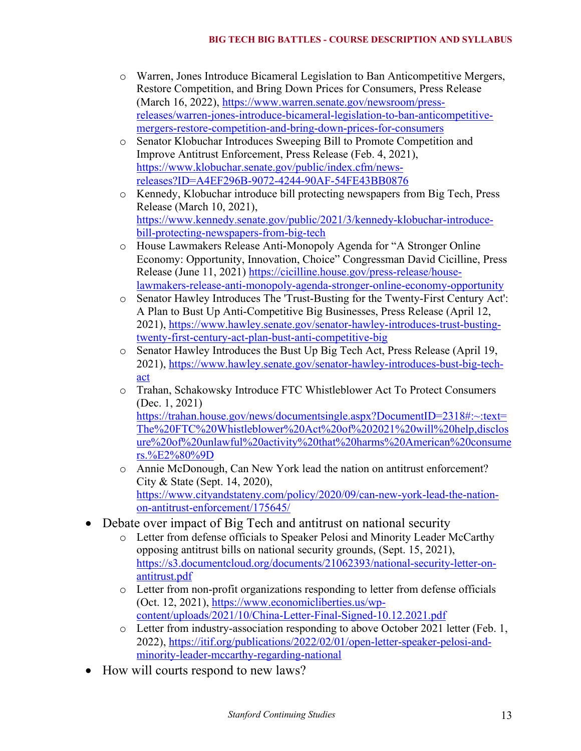- o Warren, Jones Introduce Bicameral Legislation to Ban Anticompetitive Mergers, Restore Competition, and Bring Down Prices for Consumers, Press Release (March 16, 2022), https://www.warren.senate.gov/newsroom/pressreleases/warren-jones-introduce-bicameral-legislation-to-ban-anticompetitivemergers-restore-competition-and-bring-down-prices-for-consumers
- o Senator Klobuchar Introduces Sweeping Bill to Promote Competition and Improve Antitrust Enforcement, Press Release (Feb. 4, 2021), https://www.klobuchar.senate.gov/public/index.cfm/newsreleases?ID=A4EF296B-9072-4244-90AF-54FE43BB0876
- o Kennedy, Klobuchar introduce bill protecting newspapers from Big Tech, Press Release (March 10, 2021), https://www.kennedy.senate.gov/public/2021/3/kennedy-klobuchar-introducebill-protecting-newspapers-from-big-tech
- o House Lawmakers Release Anti-Monopoly Agenda for "A Stronger Online Economy: Opportunity, Innovation, Choice" Congressman David Cicilline, Press Release (June 11, 2021) https://cicilline.house.gov/press-release/houselawmakers-release-anti-monopoly-agenda-stronger-online-economy-opportunity
- o Senator Hawley Introduces The 'Trust-Busting for the Twenty-First Century Act': A Plan to Bust Up Anti-Competitive Big Businesses, Press Release (April 12, 2021), https://www.hawley.senate.gov/senator-hawley-introduces-trust-bustingtwenty-first-century-act-plan-bust-anti-competitive-big
- o Senator Hawley Introduces the Bust Up Big Tech Act, Press Release (April 19, 2021), https://www.hawley.senate.gov/senator-hawley-introduces-bust-big-techact
- o Trahan, Schakowsky Introduce FTC Whistleblower Act To Protect Consumers (Dec. 1, 2021)

https://trahan.house.gov/news/documentsingle.aspx?DocumentID=2318#:~:text= The%20FTC%20Whistleblower%20Act%20of%202021%20will%20help,disclos ure%20of%20unlawful%20activity%20that%20harms%20American%20consume rs.%E2%80%9D

- o Annie McDonough, Can New York lead the nation on antitrust enforcement? City & State (Sept. 14, 2020), https://www.cityandstateny.com/policy/2020/09/can-new-york-lead-the-nationon-antitrust-enforcement/175645/
- Debate over impact of Big Tech and antitrust on national security
	- o Letter from defense officials to Speaker Pelosi and Minority Leader McCarthy opposing antitrust bills on national security grounds, (Sept. 15, 2021), https://s3.documentcloud.org/documents/21062393/national-security-letter-onantitrust.pdf
	- o Letter from non-profit organizations responding to letter from defense officials (Oct. 12, 2021), https://www.economicliberties.us/wpcontent/uploads/2021/10/China-Letter-Final-Signed-10.12.2021.pdf
	- o Letter from industry-association responding to above October 2021 letter (Feb. 1, 2022), https://itif.org/publications/2022/02/01/open-letter-speaker-pelosi-andminority-leader-mccarthy-regarding-national
- How will courts respond to new laws?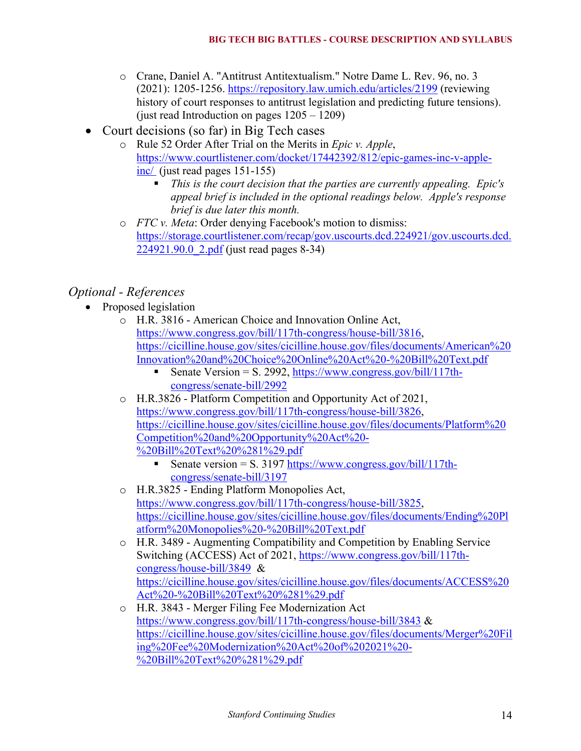- o Crane, Daniel A. "Antitrust Antitextualism." Notre Dame L. Rev. 96, no. 3 (2021): 1205-1256. https://repository.law.umich.edu/articles/2199 (reviewing history of court responses to antitrust legislation and predicting future tensions). (just read Introduction on pages 1205 – 1209)
- Court decisions (so far) in Big Tech cases
	- o Rule 52 Order After Trial on the Merits in *Epic v. Apple*, https://www.courtlistener.com/docket/17442392/812/epic-games-inc-v-appleinc/ (just read pages 151-155)
		- ! *This is the court decision that the parties are currently appealing. Epic's appeal brief is included in the optional readings below. Apple's response brief is due later this month.*
	- o *FTC v. Meta*: Order denying Facebook's motion to dismiss: https://storage.courtlistener.com/recap/gov.uscourts.dcd.224921/gov.uscourts.dcd. 224921.90.0 2.pdf (just read pages 8-34)

# *Optional - References*

- Proposed legislation
	- o H.R. 3816 American Choice and Innovation Online Act, https://www.congress.gov/bill/117th-congress/house-bill/3816, https://cicilline.house.gov/sites/cicilline.house.gov/files/documents/American%20 Innovation%20and%20Choice%20Online%20Act%20-%20Bill%20Text.pdf
		- Senate Version = S. 2992,  $\frac{https://www.congress.gov/bill/117th-1}{https://www.congress.gov/bill/117th-1}$ congress/senate-bill/2992
	- o H.R.3826 Platform Competition and Opportunity Act of 2021, https://www.congress.gov/bill/117th-congress/house-bill/3826, https://cicilline.house.gov/sites/cicilline.house.gov/files/documents/Platform%20 Competition%20and%20Opportunity%20Act%20- %20Bill%20Text%20%281%29.pdf
		- Senate version = S. 3197 https://www.congress.gov/bill/117thcongress/senate-bill/3197
	- o H.R.3825 Ending Platform Monopolies Act, https://www.congress.gov/bill/117th-congress/house-bill/3825, https://cicilline.house.gov/sites/cicilline.house.gov/files/documents/Ending%20Pl atform%20Monopolies%20-%20Bill%20Text.pdf
	- o H.R. 3489 Augmenting Compatibility and Competition by Enabling Service Switching (ACCESS) Act of 2021, https://www.congress.gov/bill/117thcongress/house-bill/3849 & https://cicilline.house.gov/sites/cicilline.house.gov/files/documents/ACCESS%20 Act%20-%20Bill%20Text%20%281%29.pdf
	- o H.R. 3843 Merger Filing Fee Modernization Act https://www.congress.gov/bill/117th-congress/house-bill/3843 & https://cicilline.house.gov/sites/cicilline.house.gov/files/documents/Merger%20Fil ing%20Fee%20Modernization%20Act%20of%202021%20- %20Bill%20Text%20%281%29.pdf